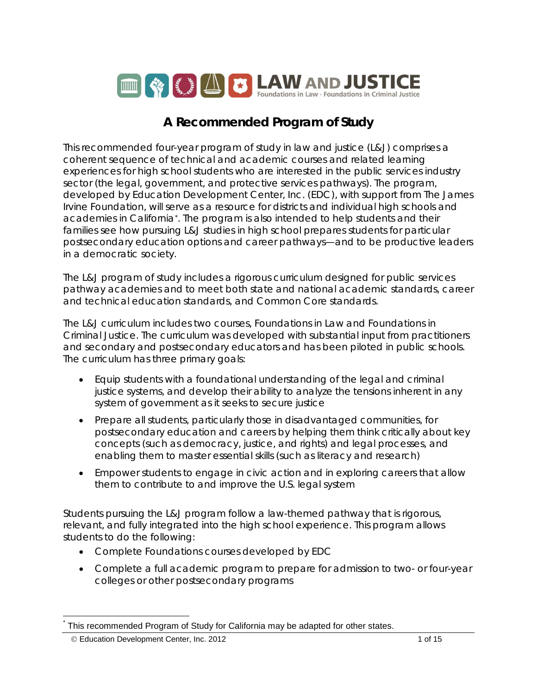

# **A Recommended Program of Study**

This recommended four-year program of study in law and justice (L&J) comprises a coherent sequence of technical and academic courses and related learning experiences for high school students who are interested in the public services industry sector (the legal, government, and protective services pathways). The program, developed by Education Development Center, Inc. (EDC), with support from The James Irvine Foundation, will serve as a resource for districts and individual high schools and academies in California[\\*.](#page-0-0) The program is also intended to help students and their families see how pursuing L&J studies in high school prepares students for particular postsecondary education options and career pathways—and to be productive leaders in a democratic society.

The L&J program of study includes a rigorous curriculum designed for public services pathway academies and to meet both state and national academic standards, career and technical education standards, and Common Core standards.

The L&J curriculum includes two courses, *Foundations in Law* and *Foundations in Criminal Justice*. The curriculum was developed with substantial input from practitioners and secondary and postsecondary educators and has been piloted in public schools. The curriculum has three primary goals:

- Equip students with a foundational understanding of the legal and criminal justice systems, and develop their ability to analyze the tensions inherent in any system of government as it seeks to secure justice
- Prepare all students, particularly those in disadvantaged communities, for postsecondary education and careers by helping them think critically about key concepts (such as democracy, justice, and rights) and legal processes, and enabling them to master essential skills (such as literacy and research)
- Empower students to engage in civic action and in exploring careers that allow them to contribute to and improve the U.S. legal system

Students pursuing the L&J program follow a law-themed pathway that is rigorous, relevant, and fully integrated into the high school experience. This program allows students to do the following:

- Complete Foundations courses developed by EDC
- Complete a full academic program to prepare for admission to two- or four-year colleges or other postsecondary programs

<span id="page-0-0"></span>This recommended Program of Study for California may be adapted for other states.

<sup>©</sup> Education Development Center, Inc. 2012 1 of 15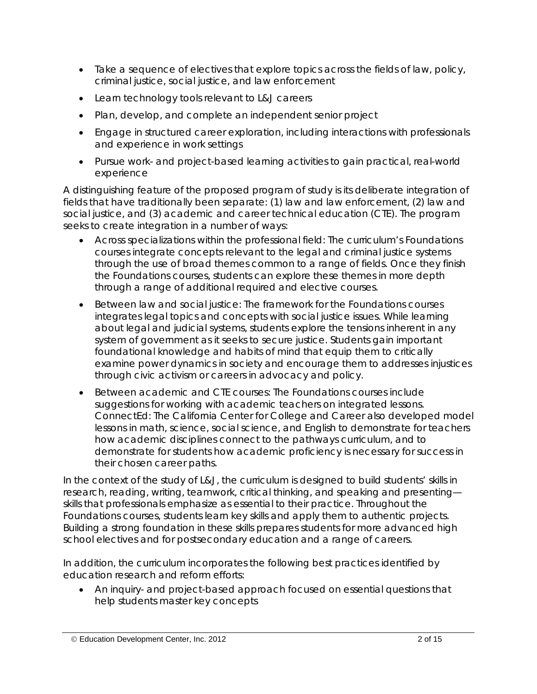- Take a sequence of electives that explore topics across the fields of law, policy, criminal justice, social justice, and law enforcement
- Learn technology tools relevant to L&J careers
- Plan, develop, and complete an independent senior project
- Engage in structured career exploration, including interactions with professionals and experience in work settings
- Pursue work- and project-based learning activities to gain practical, real-world experience

A distinguishing feature of the proposed program of study is its deliberate integration of fields that have traditionally been separate: (1) *law* and *law enforcement*, (2) *law* and *social justice*, and (3) *academic* and *career technical education* (CTE). The program seeks to create integration in a number of ways:

- *Across specializations within the professional field:* The curriculum's Foundations courses integrate concepts relevant to the legal and criminal justice systems through the use of broad themes common to a range of fields. Once they finish the Foundations courses, students can explore these themes in more depth through a range of additional required and elective courses.
- *Between law and social justice:* The framework for the Foundations courses integrates legal topics and concepts with social justice issues. While learning about legal and judicial systems, students explore the tensions inherent in any system of government as it seeks to secure justice. Students gain important foundational knowledge and habits of mind that equip them to critically examine power dynamics in society and encourage them to addresses injustices through civic activism or careers in advocacy and policy.
- *Between academic and CTE courses:* The Foundations courses include suggestions for working with academic teachers on integrated lessons. ConnectEd: The California Center for College and Career also developed model lessons in math, science, social science, and English to demonstrate for teachers how academic disciplines connect to the pathways curriculum, and to demonstrate for students how academic proficiency is necessary for success in their chosen career paths.

In the context of the study of L&J, the curriculum is designed to build students' skills in research, reading, writing, teamwork, critical thinking, and speaking and presenting skills that professionals emphasize as essential to their practice. Throughout the Foundations courses, students learn key skills and apply them to authentic projects. Building a strong foundation in these skills prepares students for more advanced high school electives and for postsecondary education and a range of careers.

In addition, the curriculum incorporates the following best practices identified by education research and reform efforts:

• An inquiry- and project-based approach focused on essential questions that help students master key concepts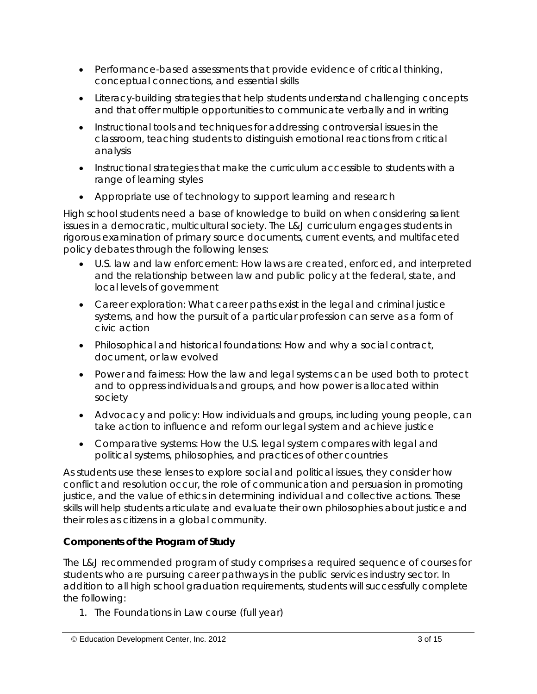- Performance-based assessments that provide evidence of critical thinking, conceptual connections, and essential skills
- Literacy-building strategies that help students understand challenging concepts and that offer multiple opportunities to communicate verbally and in writing
- Instructional tools and techniques for addressing controversial issues in the classroom, teaching students to distinguish emotional reactions from critical analysis
- Instructional strategies that make the curriculum accessible to students with a range of learning styles
- Appropriate use of technology to support learning and research

High school students need a base of knowledge to build on when considering salient issues in a democratic, multicultural society. The L&J curriculum engages students in rigorous examination of primary source documents, current events, and multifaceted policy debates through the following lenses:

- *U.S. law and law enforcement:* How laws are created, enforced, and interpreted and the relationship between law and public policy at the federal, state, and local levels of government
- *Career exploration:* What career paths exist in the legal and criminal justice systems, and how the pursuit of a particular profession can serve as a form of civic action
- *Philosophical and historical foundations:* How and why a social contract, document, or law evolved
- *Power and fairness:* How the law and legal systems can be used both to protect and to oppress individuals and groups, and how power is allocated within society
- *Advocacy and policy:* How individuals and groups, including young people, can take action to influence and reform our legal system and achieve justice
- *Comparative systems:* How the U.S. legal system compares with legal and political systems, philosophies, and practices of other countries

As students use these lenses to explore social and political issues, they consider how conflict and resolution occur, the role of communication and persuasion in promoting justice, and the value of ethics in determining individual and collective actions. These skills will help students articulate and evaluate their own philosophies about justice and their roles as citizens in a global community.

## *Components of the Program of Study*

The L&J recommended program of study comprises a required sequence of courses for students who are pursuing career pathways in the public services industry sector. In addition to all high school graduation requirements, students will successfully complete the following:

1. The *Foundations in Law* course (full year)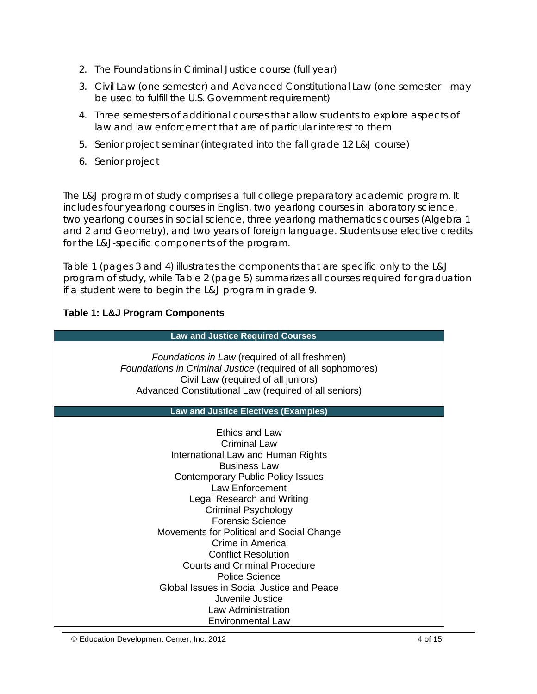- 2. The *Foundations in Criminal Justice* course (full year)
- 3. Civil Law (one semester) and Advanced Constitutional Law (one semester—may be used to fulfill the U.S. Government requirement)
- 4. Three semesters of additional courses that allow students to explore aspects of law and law enforcement that are of particular interest to them
- 5. Senior project seminar (integrated into the fall grade 12 L&J course)
- 6. Senior project

The L&J program of study comprises a full college preparatory academic program. It includes four yearlong courses in English, two yearlong courses in laboratory science, two yearlong courses in social science, three yearlong mathematics courses (Algebra 1 and 2 and Geometry), and two years of foreign language. Students use elective credits for the L&J-specific components of the program.

Table 1 (pages 3 and 4) illustrates the components that are specific only to the L&J program of study, while Table 2 (page 5) summarizes all courses required for graduation if a student were to begin the L&J program in grade 9.

## **Table 1: L&J Program Components**

| <b>Law and Justice Required Courses</b>                                                                                                                                                                                                                                                                                                                                                         |  |  |
|-------------------------------------------------------------------------------------------------------------------------------------------------------------------------------------------------------------------------------------------------------------------------------------------------------------------------------------------------------------------------------------------------|--|--|
| Foundations in Law (required of all freshmen)<br>Foundations in Criminal Justice (required of all sophomores)<br>Civil Law (required of all juniors)<br>Advanced Constitutional Law (required of all seniors)                                                                                                                                                                                   |  |  |
| <b>Law and Justice Electives (Examples)</b>                                                                                                                                                                                                                                                                                                                                                     |  |  |
| <b>Ethics and Law</b><br>Criminal Law<br>International Law and Human Rights<br><b>Business Law</b><br><b>Contemporary Public Policy Issues</b><br>Law Enforcement<br>Legal Research and Writing<br><b>Criminal Psychology</b><br><b>Forensic Science</b><br>Movements for Political and Social Change<br>Crime in America<br><b>Conflict Resolution</b><br><b>Courts and Criminal Procedure</b> |  |  |
| <b>Police Science</b>                                                                                                                                                                                                                                                                                                                                                                           |  |  |
| Global Issues in Social Justice and Peace                                                                                                                                                                                                                                                                                                                                                       |  |  |
| Juvenile Justice<br>Law Administration                                                                                                                                                                                                                                                                                                                                                          |  |  |
| <b>Environmental Law</b>                                                                                                                                                                                                                                                                                                                                                                        |  |  |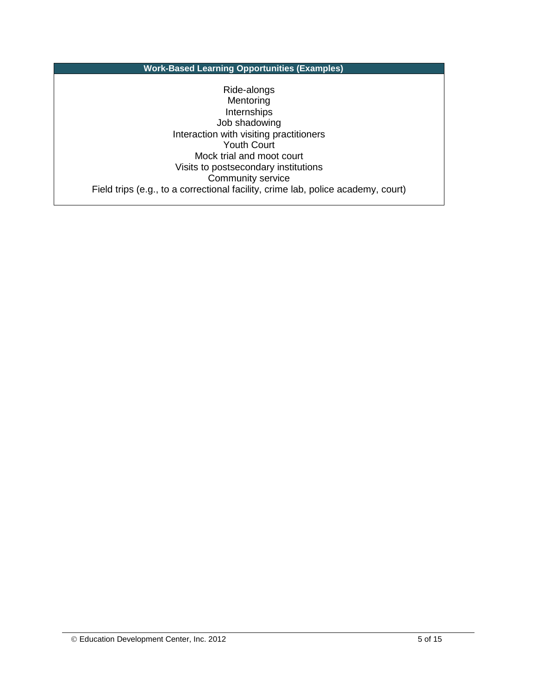**Work-Based Learning Opportunities (Examples)**

Ride-alongs Mentoring **Internships** Job shadowing Interaction with visiting practitioners Youth Court Mock trial and moot court Visits to postsecondary institutions Community service Field trips (e.g., to a correctional facility, crime lab, police academy, court)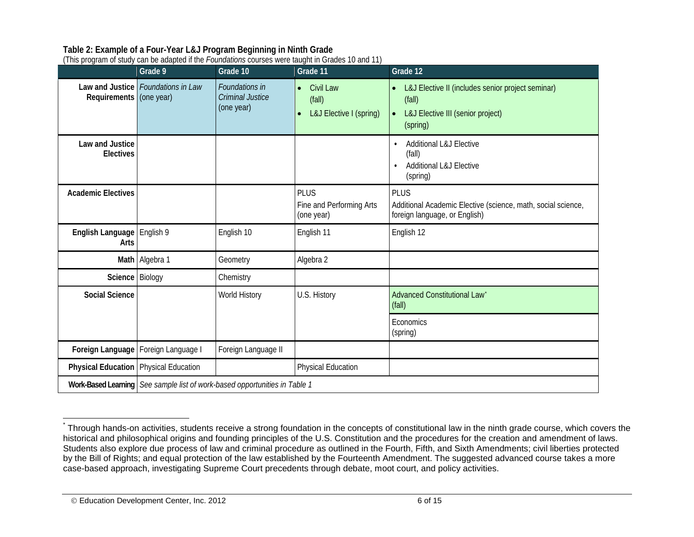## <span id="page-5-0"></span>**Table 2: Example of a Four-Year L&J Program Beginning in Ninth Grade**

(This program of study can be adapted if the *Foundations* courses were taught in Grades 10 and 11)

|                                              | $\sum_{i=1}^{n}$<br>Grade 9                                                | Grade 10                                                | Grade 11                                                    | Grade 12                                                                                                                  |
|----------------------------------------------|----------------------------------------------------------------------------|---------------------------------------------------------|-------------------------------------------------------------|---------------------------------------------------------------------------------------------------------------------------|
| Requirements (one year)                      | Law and Justice Foundations in Law                                         | Foundations in<br><b>Criminal Justice</b><br>(one year) | Civil Law<br>$\bullet$<br>(fall)<br>L&J Elective I (spring) | L&J Elective II (includes senior project seminar)<br>(fall)<br>L&J Elective III (senior project)<br>$\bullet$<br>(spring) |
| Law and Justice<br><b>Electives</b>          |                                                                            |                                                         |                                                             | <b>Additional L&amp;J Elective</b><br>(fall)<br><b>Additional L&amp;J Elective</b><br>$\bullet$<br>(spring)               |
| <b>Academic Electives</b>                    |                                                                            |                                                         | <b>PLUS</b><br>Fine and Performing Arts<br>(one year)       | <b>PLUS</b><br>Additional Academic Elective (science, math, social science,<br>foreign language, or English)              |
| English Language   English 9<br>Arts         |                                                                            | English 10                                              | English 11                                                  | English 12                                                                                                                |
|                                              | Math Algebra 1                                                             | Geometry                                                | Algebra 2                                                   |                                                                                                                           |
| Science Biology                              |                                                                            | Chemistry                                               |                                                             |                                                                                                                           |
| <b>Social Science</b>                        |                                                                            | World History                                           | U.S. History                                                | Advanced Constitutional Law<br>(fall)                                                                                     |
|                                              |                                                                            |                                                         |                                                             | Economics<br>(spring)                                                                                                     |
|                                              | Foreign Language   Foreign Language I                                      | Foreign Language II                                     |                                                             |                                                                                                                           |
| <b>Physical Education</b> Physical Education |                                                                            |                                                         | <b>Physical Education</b>                                   |                                                                                                                           |
|                                              | Work-Based Learning See sample list of work-based opportunities in Table 1 |                                                         |                                                             |                                                                                                                           |

Through hands-on activities, students receive a strong foundation in the concepts of constitutional law in the ninth grade course, which covers the historical and philosophical origins and founding principles of the U.S. Constitution and the procedures for the creation and amendment of laws. Students also explore due process of law and criminal procedure as outlined in the Fourth, Fifth, and Sixth Amendments; civil liberties protected by the Bill of Rights; and equal protection of the law established by the Fourteenth Amendment. The suggested advanced course takes a more case-based approach, investigating Supreme Court precedents through debate, moot court, and policy activities.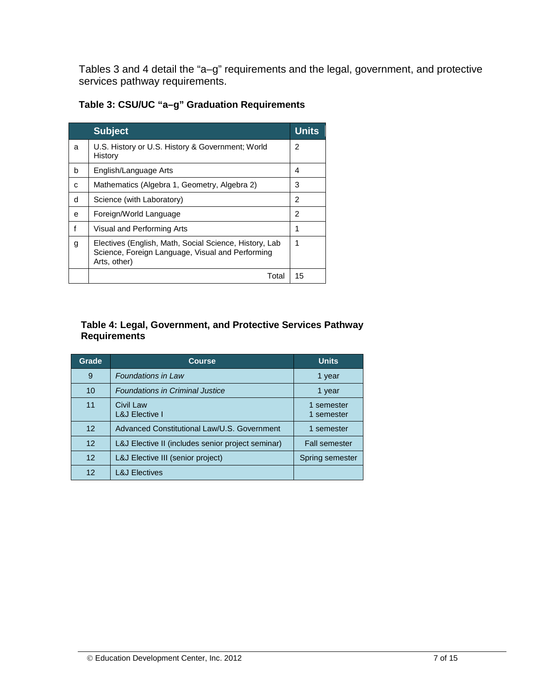Tables 3 and 4 detail the "a–g" requirements and the legal, government, and protective services pathway requirements.

| Table 3: CSU/UC "a-g" Graduation Requirements |  |  |
|-----------------------------------------------|--|--|
|-----------------------------------------------|--|--|

|   | <b>Subject</b>                                                                                                             | <b>Units</b> |
|---|----------------------------------------------------------------------------------------------------------------------------|--------------|
| a | U.S. History or U.S. History & Government; World<br>History                                                                | 2            |
| b | English/Language Arts                                                                                                      | 4            |
| C | Mathematics (Algebra 1, Geometry, Algebra 2)                                                                               | 3            |
| d | Science (with Laboratory)                                                                                                  | 2            |
| e | Foreign/World Language                                                                                                     | 2            |
|   | Visual and Performing Arts                                                                                                 | 1            |
| g | Electives (English, Math, Social Science, History, Lab<br>Science, Foreign Language, Visual and Performing<br>Arts, other) | 1            |
|   | Total                                                                                                                      | 15           |

#### **Table 4: Legal, Government, and Protective Services Pathway Requirements**

| Grade           | <b>Course</b>                                     | <b>Units</b>             |
|-----------------|---------------------------------------------------|--------------------------|
| 9               | <b>Foundations in Law</b>                         | 1 year                   |
| 10              | <b>Foundations in Criminal Justice</b>            | 1 year                   |
| 11              | Civil Law<br><b>L&amp;J Elective I</b>            | 1 semester<br>1 semester |
| 12 <sup>°</sup> | Advanced Constitutional Law/U.S. Government       | 1 semester               |
| 12 <sup>°</sup> | L&J Elective II (includes senior project seminar) | <b>Fall semester</b>     |
| 12 <sup>°</sup> | L&J Elective III (senior project)                 | Spring semester          |
| 12              | <b>L&amp;J Electives</b>                          |                          |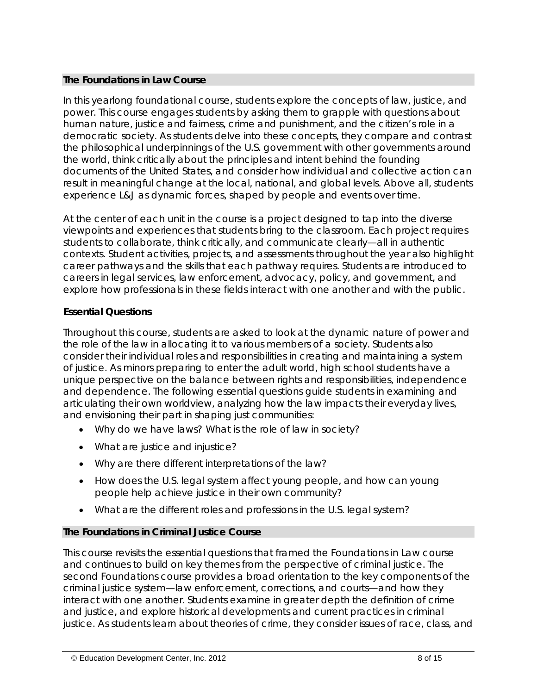#### **The** *Foundations in Law* **Course**

In this yearlong foundational course, students explore the concepts of law, justice, and power. This course engages students by asking them to grapple with questions about human nature, justice and fairness, crime and punishment, and the citizen's role in a democratic society. As students delve into these concepts, they compare and contrast the philosophical underpinnings of the U.S. government with other governments around the world, think critically about the principles and intent behind the founding documents of the United States, and consider how individual and collective action can result in meaningful change at the local, national, and global levels. Above all, students experience L&J as dynamic forces, shaped by people and events over time.

At the center of each unit in the course is a project designed to tap into the diverse viewpoints and experiences that students bring to the classroom. Each project requires students to collaborate, think critically, and communicate clearly—all in authentic contexts. Student activities, projects, and assessments throughout the year also highlight career pathways and the skills that each pathway requires. Students are introduced to careers in legal services, law enforcement, advocacy, policy, and government, and explore how professionals in these fields interact with one another and with the public.

## **Essential Questions**

Throughout this course, students are asked to look at the dynamic nature of power and the role of the law in allocating it to various members of a society. Students also consider their individual roles and responsibilities in creating and maintaining a system of justice. As minors preparing to enter the adult world, high school students have a unique perspective on the balance between rights and responsibilities, independence and dependence. The following essential questions guide students in examining and articulating their own worldview, analyzing how the law impacts their everyday lives, and envisioning their part in shaping just communities:

- Why do we have laws? What is the role of law in society?
- What are *justice* and *injustice*?
- Why are there different interpretations of the law?
- How does the U.S. legal system affect young people, and how can young people help achieve justice in their own community?
- What are the different roles and professions in the U.S. legal system?

## **The** *Foundations in Criminal Justice* **Course**

This course revisits the essential questions that framed the *Foundations in Law* course and continues to build on key themes from the perspective of criminal justice. The second Foundations course provides a broad orientation to the key components of the criminal justice system—law enforcement, corrections, and courts—and how they interact with one another. Students examine in greater depth the definition of *crime* and *justice*, and explore historical developments and current practices in criminal justice. As students learn about theories of crime, they consider issues of race, class, and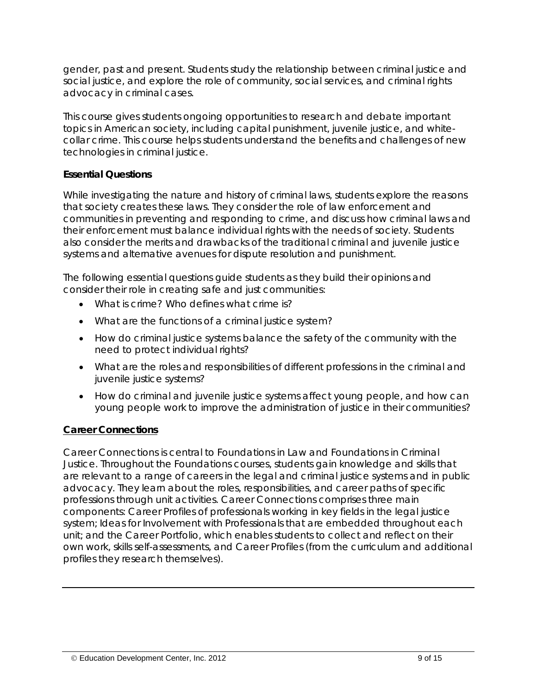gender, past and present. Students study the relationship between criminal justice and social justice, and explore the role of community, social services, and criminal rights advocacy in criminal cases.

This course gives students ongoing opportunities to research and debate important topics in American society, including capital punishment, juvenile justice, and whitecollar crime. This course helps students understand the benefits and challenges of new technologies in criminal justice.

#### **Essential Questions**

While investigating the nature and history of criminal laws, students explore the reasons that society creates these laws. They consider the role of law enforcement and communities in preventing and responding to crime, and discuss how criminal laws and their enforcement must balance individual rights with the needs of society. Students also consider the merits and drawbacks of the traditional criminal and juvenile justice systems and alternative avenues for dispute resolution and punishment.

The following essential questions guide students as they build their opinions and consider their role in creating safe and just communities:

- What is *crime*? Who defines what *crime* is?
- What are the functions of a criminal justice system?
- How do criminal justice systems balance the safety of the community with the need to protect individual rights?
- What are the roles and responsibilities of different professions in the criminal and juvenile justice systems?
- How do criminal and juvenile justice systems affect young people, and how can young people work to improve the administration of justice in their communities?

#### *Career Connections*

Career Connections is central to *Foundations in Law* and *Foundations in Criminal Justice*. Throughout the Foundations courses, students gain knowledge and skills that are relevant to a range of careers in the legal and criminal justice systems and in public advocacy. They learn about the roles, responsibilities, and career paths of specific professions through unit activities. Career Connections comprises three main components: *Career Profiles* of professionals working in key fields in the legal justice system; *Ideas for Involvement with Professionals* that are embedded throughout each unit; and the *Career Portfolio*, which enables students to collect and reflect on their own work, skills self-assessments, and Career Profiles (from the curriculum and additional profiles they research themselves).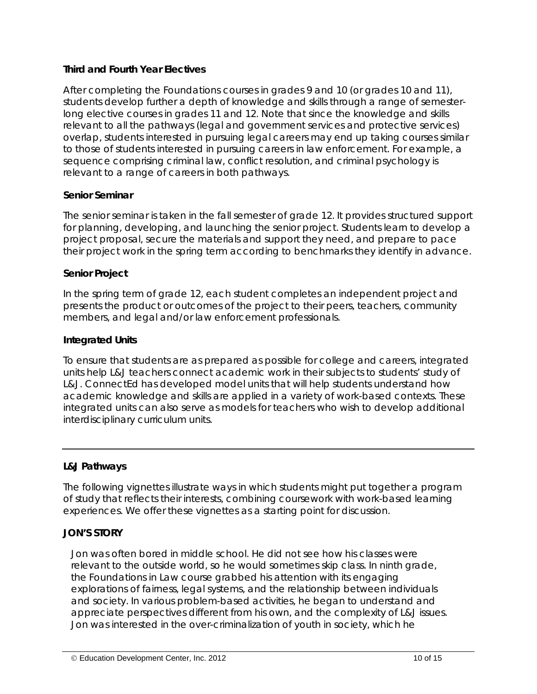#### **Third and Fourth Year Electives**

After completing the Foundations courses in grades 9 and 10 (or grades 10 and 11), students develop further a depth of knowledge and skills through a range of semesterlong elective courses in grades 11 and 12. Note that since the knowledge and skills relevant to all the pathways (legal and government services and protective services) overlap, students interested in pursuing legal careers may end up taking courses similar to those of students interested in pursuing careers in law enforcement. For example, a sequence comprising criminal law, conflict resolution, and criminal psychology is relevant to a range of careers in both pathways.

## **Senior Seminar**

The senior seminar is taken in the fall semester of grade 12. It provides structured support for planning, developing, and launching the senior project. Students learn to develop a project proposal, secure the materials and support they need, and prepare to pace their project work in the spring term according to benchmarks they identify in advance.

#### **Senior Project**

In the spring term of grade 12, each student completes an independent project and presents the product or outcomes of the project to their peers, teachers, community members, and legal and/or law enforcement professionals.

#### **Integrated Units**

To ensure that students are as prepared as possible for college and careers, integrated units help L&J teachers connect academic work in their subjects to students' study of L&J. ConnectEd has developed model units that will help students understand how academic knowledge and skills are applied in a variety of work-based contexts. These integrated units can also serve as models for teachers who wish to develop additional interdisciplinary curriculum units.

#### *L&J Pathways*

The following vignettes illustrate ways in which students might put together a program of study that reflects their interests, combining coursework with work-based learning experiences. We offer these vignettes as a starting point for discussion.

#### **JON'S STORY**

Jon was often bored in middle school. He did not see how his classes were relevant to the outside world, so he would sometimes skip class. In ninth grade, the *Foundations in Law* course grabbed his attention with its engaging explorations of fairness, legal systems, and the relationship between individuals and society. In various problem-based activities, he began to understand and appreciate perspectives different from his own, and the complexity of L&J issues. Jon was interested in the over-criminalization of youth in society, which he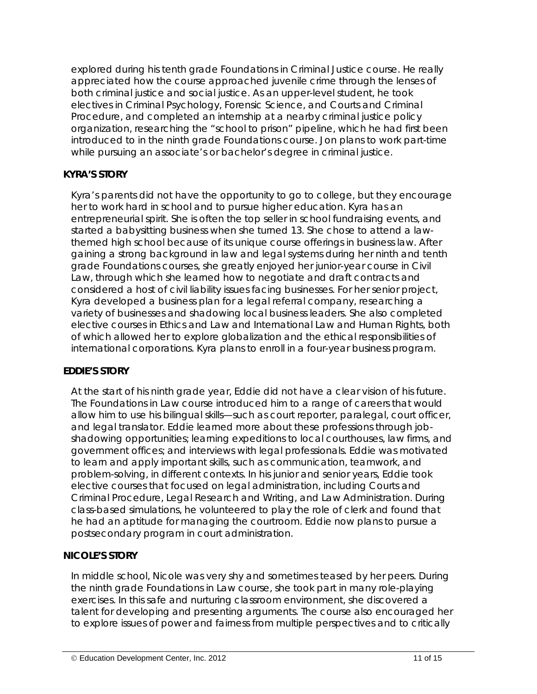explored during his tenth grade *Foundations in Criminal Justice* course. He really appreciated how the course approached juvenile crime through the lenses of both criminal justice and social justice. As an upper-level student, he took electives in Criminal Psychology, Forensic Science, and Courts and Criminal Procedure, and completed an internship at a nearby criminal justice policy organization, researching the "school to prison" pipeline, which he had first been introduced to in the ninth grade Foundations course. Jon plans to work part-time while pursuing an associate's or bachelor's degree in criminal justice.

## **KYRA'S STORY**

Kyra's parents did not have the opportunity to go to college, but they encourage her to work hard in school and to pursue higher education. Kyra has an entrepreneurial spirit. She is often the top seller in school fundraising events, and started a babysitting business when she turned 13. She chose to attend a lawthemed high school because of its unique course offerings in business law. After gaining a strong background in law and legal systems during her ninth and tenth grade Foundations courses, she greatly enjoyed her junior-year course in Civil Law, through which she learned how to negotiate and draft contracts and considered a host of civil liability issues facing businesses. For her senior project, Kyra developed a business plan for a legal referral company, researching a variety of businesses and shadowing local business leaders. She also completed elective courses in Ethics and Law and International Law and Human Rights, both of which allowed her to explore globalization and the ethical responsibilities of international corporations. Kyra plans to enroll in a four-year business program.

#### **EDDIE'S STORY**

At the start of his ninth grade year, Eddie did not have a clear vision of his future. The *Foundations in Law* course introduced him to a range of careers that would allow him to use his bilingual skills—such as court reporter, paralegal, court officer, and legal translator. Eddie learned more about these professions through jobshadowing opportunities; learning expeditions to local courthouses, law firms, and government offices; and interviews with legal professionals. Eddie was motivated to learn and apply important skills, such as communication, teamwork, and problem-solving, in different contexts. In his junior and senior years, Eddie took elective courses that focused on legal administration, including Courts and Criminal Procedure, Legal Research and Writing, and Law Administration. During class-based simulations, he volunteered to play the role of clerk and found that he had an aptitude for managing the courtroom. Eddie now plans to pursue a postsecondary program in court administration.

#### **NICOLE'S STORY**

In middle school, Nicole was very shy and sometimes teased by her peers. During the ninth grade *Foundations in Law* course, she took part in many role-playing exercises. In this safe and nurturing classroom environment, she discovered a talent for developing and presenting arguments. The course also encouraged her to explore issues of power and fairness from multiple perspectives and to critically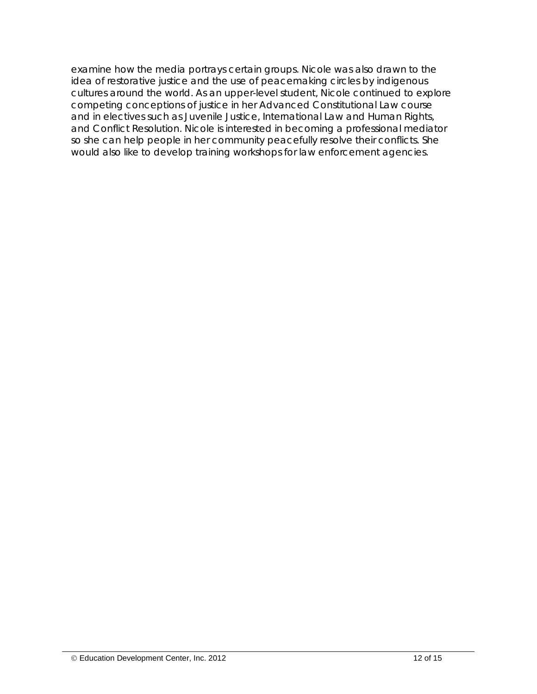examine how the media portrays certain groups. Nicole was also drawn to the idea of restorative justice and the use of peacemaking circles by indigenous cultures around the world. As an upper-level student, Nicole continued to explore competing conceptions of justice in her Advanced Constitutional Law course and in electives such as Juvenile Justice, International Law and Human Rights, and Conflict Resolution. Nicole is interested in becoming a professional mediator so she can help people in her community peacefully resolve their conflicts. She would also like to develop training workshops for law enforcement agencies.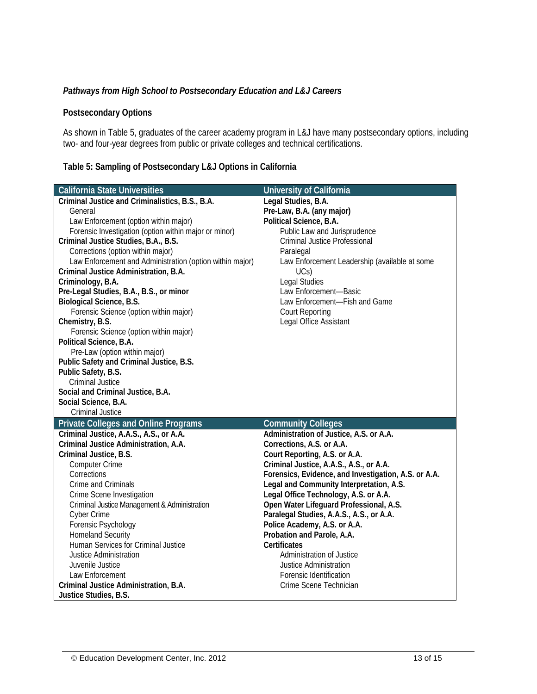#### *Pathways from High School to Postsecondary Education and L&J Careers*

#### **Postsecondary Options**

As shown in Table 5, graduates of the career academy program in L&J have many postsecondary options, including two- and four-year degrees from public or private colleges and technical certifications.

#### **Table 5: Sampling of Postsecondary L&J Options in California**

| <b>California State Universities</b>                     | <b>University of California</b>                      |
|----------------------------------------------------------|------------------------------------------------------|
| Criminal Justice and Criminalistics, B.S., B.A.          | Legal Studies, B.A.                                  |
| General                                                  | Pre-Law, B.A. (any major)                            |
| Law Enforcement (option within major)                    | Political Science, B.A.                              |
| Forensic Investigation (option within major or minor)    | Public Law and Jurisprudence                         |
| Criminal Justice Studies, B.A., B.S.                     | <b>Criminal Justice Professional</b>                 |
| Corrections (option within major)                        | Paralegal                                            |
| Law Enforcement and Administration (option within major) | Law Enforcement Leadership (available at some        |
| Criminal Justice Administration, B.A.                    | UCs)                                                 |
| Criminology, B.A.                                        | Legal Studies                                        |
| Pre-Legal Studies, B.A., B.S., or minor                  | Law Enforcement-Basic                                |
| Biological Science, B.S.                                 | Law Enforcement-Fish and Game                        |
| Forensic Science (option within major)                   | <b>Court Reporting</b>                               |
| Chemistry, B.S.                                          | Legal Office Assistant                               |
| Forensic Science (option within major)                   |                                                      |
| Political Science, B.A.                                  |                                                      |
| Pre-Law (option within major)                            |                                                      |
| Public Safety and Criminal Justice, B.S.                 |                                                      |
| Public Safety, B.S.                                      |                                                      |
| <b>Criminal Justice</b>                                  |                                                      |
| Social and Criminal Justice, B.A.                        |                                                      |
| Social Science, B.A.                                     |                                                      |
| Criminal Justice                                         |                                                      |
| <b>Private Colleges and Online Programs</b>              | <b>Community Colleges</b>                            |
| Criminal Justice, A.A.S., A.S., or A.A.                  | Administration of Justice, A.S. or A.A.              |
| Criminal Justice Administration, A.A.                    | Corrections, A.S. or A.A.                            |
| Criminal Justice, B.S.                                   | Court Reporting, A.S. or A.A.                        |
| <b>Computer Crime</b>                                    | Criminal Justice, A.A.S., A.S., or A.A.              |
| Corrections                                              | Forensics, Evidence, and Investigation, A.S. or A.A. |
| Crime and Criminals                                      | Legal and Community Interpretation, A.S.             |
| Crime Scene Investigation                                | Legal Office Technology, A.S. or A.A.                |
| Criminal Justice Management & Administration             | Open Water Lifeguard Professional, A.S.              |
| <b>Cyber Crime</b>                                       | Paralegal Studies, A.A.S., A.S., or A.A.             |
| Forensic Psychology                                      | Police Academy, A.S. or A.A.                         |
| <b>Homeland Security</b>                                 | Probation and Parole, A.A.                           |
| Human Services for Criminal Justice                      | Certificates                                         |
| Justice Administration                                   | Administration of Justice                            |
| Juvenile Justice                                         | <b>Justice Administration</b>                        |
| Law Enforcement                                          | Forensic Identification                              |
| Criminal Justice Administration, B.A.                    | Crime Scene Technician                               |
| Justice Studies, B.S.                                    |                                                      |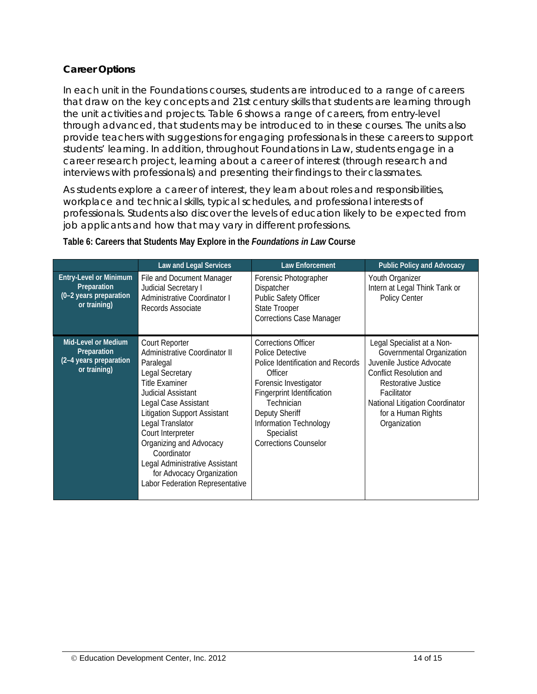## *Career Options*

In each unit in the Foundations courses, students are introduced to a range of careers that draw on the key concepts and 21st century skills that students are learning through the unit activities and projects. Table 6 shows a range of careers, from entry-level through advanced, that students may be introduced to in these courses. The units also provide teachers with suggestions for engaging professionals in these careers to support students' learning. In addition, throughout *Foundations in Law*, students engage in a career research project, learning about a career of interest (through research and interviews with professionals) and presenting their findings to their classmates.

As students explore a career of interest, they learn about roles and responsibilities, workplace and technical skills, typical schedules, and professional interests of professionals. Students also discover the levels of education likely to be expected from job applicants and how that may vary in different professions.

|                                                                                        | <b>Law and Legal Services</b>                                                                                                                                                                                                                                                                                                                                                      | <b>Law Enforcement</b>                                                                                                                                                                                                                                               | <b>Public Policy and Advocacy</b>                                                                                                                                                                                              |
|----------------------------------------------------------------------------------------|------------------------------------------------------------------------------------------------------------------------------------------------------------------------------------------------------------------------------------------------------------------------------------------------------------------------------------------------------------------------------------|----------------------------------------------------------------------------------------------------------------------------------------------------------------------------------------------------------------------------------------------------------------------|--------------------------------------------------------------------------------------------------------------------------------------------------------------------------------------------------------------------------------|
| <b>Entry-Level or Minimum</b><br>Preparation<br>(0-2 years preparation<br>or training) | File and Document Manager<br>Judicial Secretary I<br>Administrative Coordinator I<br>Records Associate                                                                                                                                                                                                                                                                             | Forensic Photographer<br>Dispatcher<br>Public Safety Officer<br><b>State Trooper</b><br><b>Corrections Case Manager</b>                                                                                                                                              | Youth Organizer<br>Intern at Legal Think Tank or<br>Policy Center                                                                                                                                                              |
| <b>Mid-Level or Medium</b><br>Preparation<br>(2-4 years preparation<br>or training)    | Court Reporter<br>Administrative Coordinator II<br>Paralegal<br>Legal Secretary<br><b>Title Examiner</b><br>Judicial Assistant<br>Legal Case Assistant<br><b>Litigation Support Assistant</b><br>Legal Translator<br>Court Interpreter<br>Organizing and Advocacy<br>Coordinator<br>Legal Administrative Assistant<br>for Advocacy Organization<br>Labor Federation Representative | <b>Corrections Officer</b><br>Police Detective<br>Police Identification and Records<br>Officer<br>Forensic Investigator<br><b>Fingerprint Identification</b><br>Technician<br>Deputy Sheriff<br>Information Technology<br>Specialist<br><b>Corrections Counselor</b> | Legal Specialist at a Non-<br>Governmental Organization<br>Juvenile Justice Advocate<br>Conflict Resolution and<br>Restorative Justice<br>Facilitator<br>National Litigation Coordinator<br>for a Human Rights<br>Organization |

#### **Table 6: Careers that Students May Explore in the** *Foundations in Law* **Course**